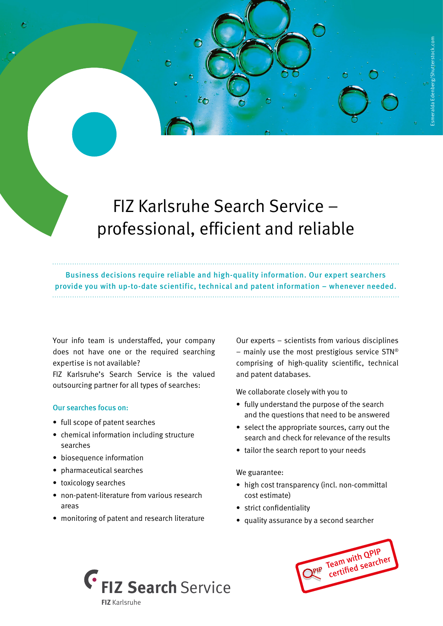# FIZ Karlsruhe Search Service – professional, efficient and reliable

Business decisions require reliable and high-quality information. Our expert searchers provide you with up-to-date scientific, technical and patent information – whenever needed.

Your info team is understaffed, your company does not have one or the required searching expertise is not available?

FIZ Karlsruhe's Search Service is the valued outsourcing partner for all types of searches:

## Our searches focus on:

- full scope of patent searches
- chemical information including structure searches
- biosequence information
- pharmaceutical searches
- toxicology searches
- non-patent-literature from various research areas
- monitoring of patent and research literature

Our experts – scientists from various disciplines – mainly use the most prestigious service  $STN^{\odot}$ comprising of high-quality scientific, technical and patent databases.

We collaborate closely with you to

- fully understand the purpose of the search and the questions that need to be answered
- select the appropriate sources, carry out the search and check for relevance of the results
- tailor the search report to your needs

#### We guarantee:

- high cost transparency (incl. non-committal cost estimate)
- strict confidentiality
- quality assurance by a second searcher